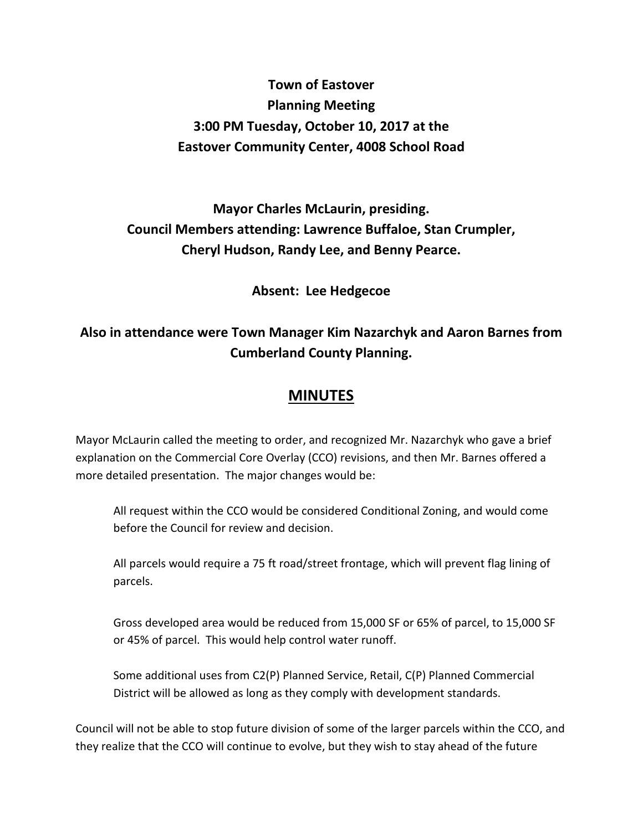## **Town of Eastover Planning Meeting 3:00 PM Tuesday, October 10, 2017 at the Eastover Community Center, 4008 School Road**

## **Mayor Charles McLaurin, presiding. Council Members attending: Lawrence Buffaloe, Stan Crumpler, Cheryl Hudson, Randy Lee, and Benny Pearce.**

**Absent: Lee Hedgecoe** 

## **Also in attendance were Town Manager Kim Nazarchyk and Aaron Barnes from Cumberland County Planning.**

## **MINUTES**

Mayor McLaurin called the meeting to order, and recognized Mr. Nazarchyk who gave a brief explanation on the Commercial Core Overlay (CCO) revisions, and then Mr. Barnes offered a more detailed presentation. The major changes would be:

 All request within the CCO would be considered Conditional Zoning, and would come before the Council for review and decision.

 All parcels would require a 75 ft road/street frontage, which will prevent flag lining of parcels.

Gross developed area would be reduced from 15,000 SF or 65% of parcel, to 15,000 SF or 45% of parcel. This would help control water runoff.

 Some additional uses from C2(P) Planned Service, Retail, C(P) Planned Commercial District will be allowed as long as they comply with development standards.

Council will not be able to stop future division of some of the larger parcels within the CCO, and they realize that the CCO will continue to evolve, but they wish to stay ahead of the future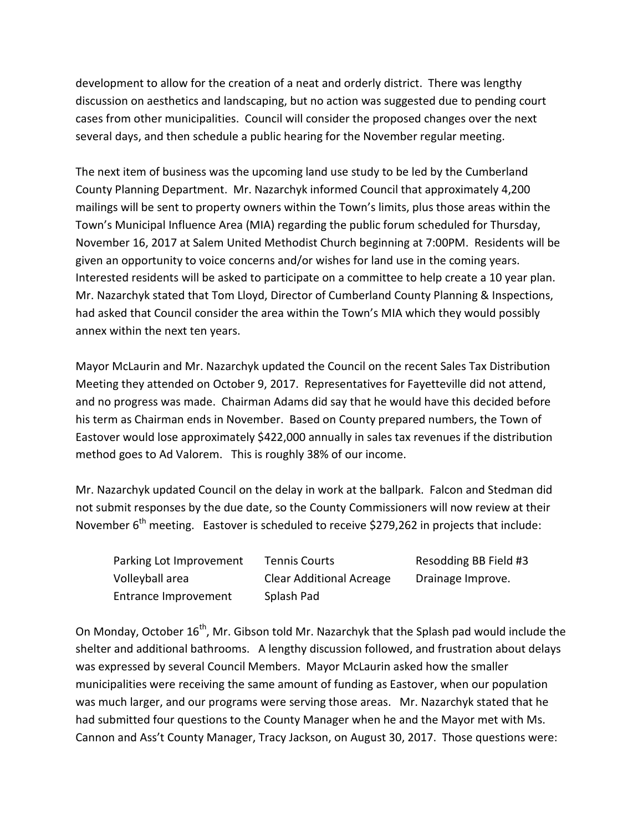development to allow for the creation of a neat and orderly district. There was lengthy discussion on aesthetics and landscaping, but no action was suggested due to pending court cases from other municipalities. Council will consider the proposed changes over the next several days, and then schedule a public hearing for the November regular meeting.

The next item of business was the upcoming land use study to be led by the Cumberland County Planning Department. Mr. Nazarchyk informed Council that approximately 4,200 mailings will be sent to property owners within the Town's limits, plus those areas within the Town's Municipal Influence Area (MIA) regarding the public forum scheduled for Thursday, November 16, 2017 at Salem United Methodist Church beginning at 7:00PM. Residents will be given an opportunity to voice concerns and/or wishes for land use in the coming years. Interested residents will be asked to participate on a committee to help create a 10 year plan. Mr. Nazarchyk stated that Tom Lloyd, Director of Cumberland County Planning & Inspections, had asked that Council consider the area within the Town's MIA which they would possibly annex within the next ten years.

Mayor McLaurin and Mr. Nazarchyk updated the Council on the recent Sales Tax Distribution Meeting they attended on October 9, 2017. Representatives for Fayetteville did not attend, and no progress was made. Chairman Adams did say that he would have this decided before his term as Chairman ends in November. Based on County prepared numbers, the Town of Eastover would lose approximately \$422,000 annually in sales tax revenues if the distribution method goes to Ad Valorem. This is roughly 38% of our income.

Mr. Nazarchyk updated Council on the delay in work at the ballpark. Falcon and Stedman did not submit responses by the due date, so the County Commissioners will now review at their November  $6<sup>th</sup>$  meeting. Eastover is scheduled to receive \$279,262 in projects that include:

| Parking Lot Improvement | <b>Tennis Courts</b>            | Resodding BB Field #3 |
|-------------------------|---------------------------------|-----------------------|
| Volleyball area         | <b>Clear Additional Acreage</b> | Drainage Improve.     |
| Entrance Improvement    | Splash Pad                      |                       |

On Monday, October 16<sup>th</sup>, Mr. Gibson told Mr. Nazarchyk that the Splash pad would include the shelter and additional bathrooms. A lengthy discussion followed, and frustration about delays was expressed by several Council Members. Mayor McLaurin asked how the smaller municipalities were receiving the same amount of funding as Eastover, when our population was much larger, and our programs were serving those areas. Mr. Nazarchyk stated that he had submitted four questions to the County Manager when he and the Mayor met with Ms. Cannon and Ass't County Manager, Tracy Jackson, on August 30, 2017. Those questions were: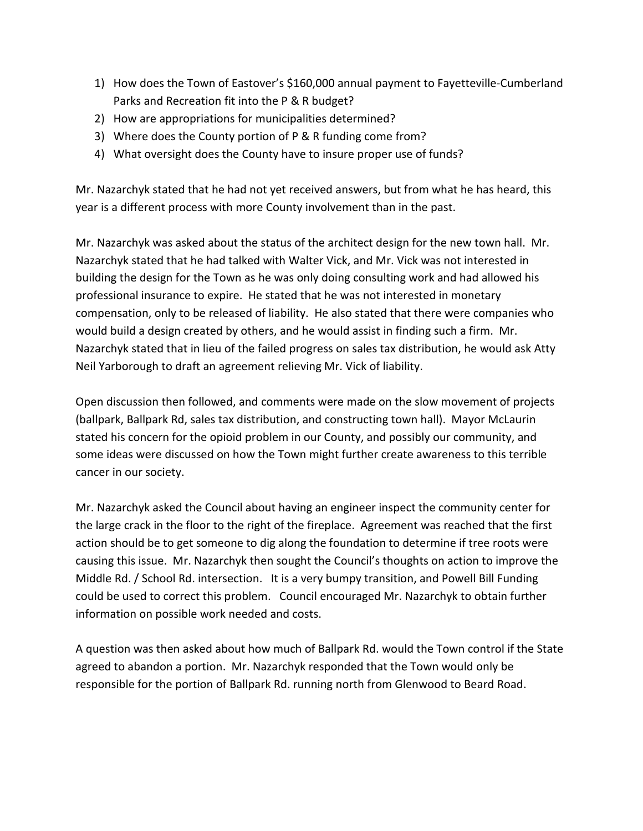- 1) How does the Town of Eastover's \$160,000 annual payment to Fayetteville-Cumberland Parks and Recreation fit into the P & R budget?
- 2) How are appropriations for municipalities determined?
- 3) Where does the County portion of P & R funding come from?
- 4) What oversight does the County have to insure proper use of funds?

Mr. Nazarchyk stated that he had not yet received answers, but from what he has heard, this year is a different process with more County involvement than in the past.

Mr. Nazarchyk was asked about the status of the architect design for the new town hall. Mr. Nazarchyk stated that he had talked with Walter Vick, and Mr. Vick was not interested in building the design for the Town as he was only doing consulting work and had allowed his professional insurance to expire. He stated that he was not interested in monetary compensation, only to be released of liability. He also stated that there were companies who would build a design created by others, and he would assist in finding such a firm. Mr. Nazarchyk stated that in lieu of the failed progress on sales tax distribution, he would ask Atty Neil Yarborough to draft an agreement relieving Mr. Vick of liability.

Open discussion then followed, and comments were made on the slow movement of projects (ballpark, Ballpark Rd, sales tax distribution, and constructing town hall). Mayor McLaurin stated his concern for the opioid problem in our County, and possibly our community, and some ideas were discussed on how the Town might further create awareness to this terrible cancer in our society.

Mr. Nazarchyk asked the Council about having an engineer inspect the community center for the large crack in the floor to the right of the fireplace. Agreement was reached that the first action should be to get someone to dig along the foundation to determine if tree roots were causing this issue. Mr. Nazarchyk then sought the Council's thoughts on action to improve the Middle Rd. / School Rd. intersection. It is a very bumpy transition, and Powell Bill Funding could be used to correct this problem. Council encouraged Mr. Nazarchyk to obtain further information on possible work needed and costs.

A question was then asked about how much of Ballpark Rd. would the Town control if the State agreed to abandon a portion. Mr. Nazarchyk responded that the Town would only be responsible for the portion of Ballpark Rd. running north from Glenwood to Beard Road.